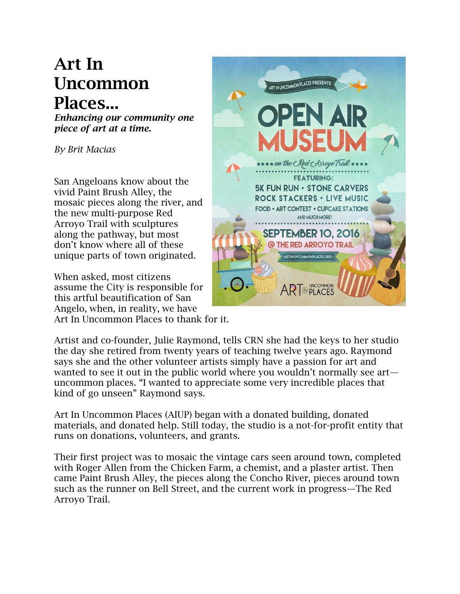## **Art In Uncommon Places...**

*Enhancing our community one piece of art at a time.*

*By Brit Macias*

San Angeloans know about the vivid Paint Brush Alley, the mosaic pieces along the river, and the new multi-purpose Red Arroyo Trail with sculptures along the pathway, but most don't know where all of these unique parts of town originated.

When asked, most citizens assume the City is responsible for this artful beautification of San Angelo, when, in reality, we have Art In Uncommon Places to thank for it.



Artist and co-founder, Julie Raymond, tells CRN she had the keys to her studio the day she retired from twenty years of teaching twelve years ago. Raymond says she and the other volunteer artists simply have a passion for art and wanted to see it out in the public world where you wouldn't normally see art uncommon places. "I wanted to appreciate some very incredible places that kind of go unseen" Raymond says.

Art In Uncommon Places (AIUP) began with a donated building, donated materials, and donated help. Still today, the studio is a not-for-profit entity that runs on donations, volunteers, and grants.

Their first project was to mosaic the vintage cars seen around town, completed with Roger Allen from the Chicken Farm, a chemist, and a plaster artist. Then came Paint Brush Alley, the pieces along the Concho River, pieces around town such as the runner on Bell Street, and the current work in progress—The Red Arroyo Trail.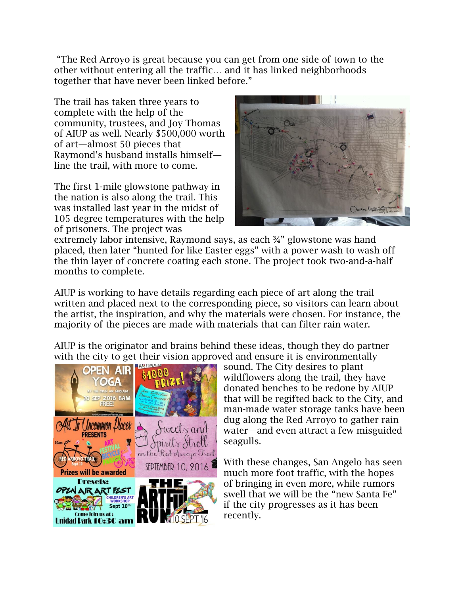"The Red Arroyo is great because you can get from one side of town to the other without entering all the traffic… and it has linked neighborhoods together that have never been linked before."

The trail has taken three years to complete with the help of the community, trustees, and Joy Thomas of AIUP as well. Nearly \$500,000 worth of art—almost 50 pieces that Raymond's husband installs himself line the trail, with more to come.

The first 1-mile glowstone pathway in the nation is also along the trail. This was installed last year in the midst of 105 degree temperatures with the help of prisoners. The project was



extremely labor intensive, Raymond says, as each ¾" glowstone was hand placed, then later "hunted for like Easter eggs" with a power wash to wash off the thin layer of concrete coating each stone. The project took two-and-a-half months to complete.

AIUP is working to have details regarding each piece of art along the trail written and placed next to the corresponding piece, so visitors can learn about the artist, the inspiration, and why the materials were chosen. For instance, the majority of the pieces are made with materials that can filter rain water.

AIUP is the originator and brains behind these ideas, though they do partner with the city to get their vision approved and ensure it is environmentally



sound. The City desires to plant wildflowers along the trail, they have donated benches to be redone by AIUP that will be regifted back to the City, and man-made water storage tanks have been dug along the Red Arroyo to gather rain water—and even attract a few misguided seagulls.

With these changes, San Angelo has seen much more foot traffic, with the hopes of bringing in even more, while rumors swell that we will be the "new Santa Fe" if the city progresses as it has been recently.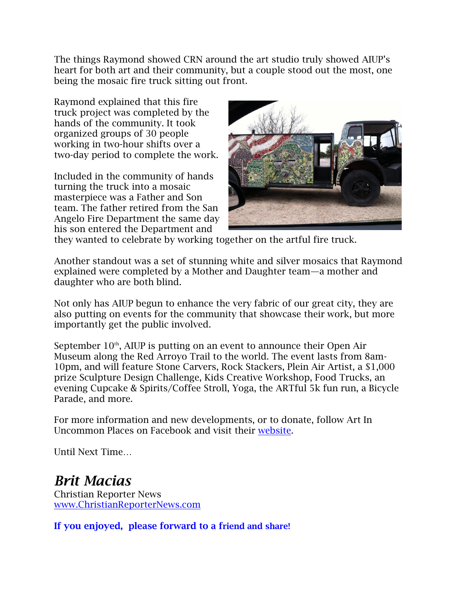The things Raymond showed CRN around the art studio truly showed AIUP's heart for both art and their community, but a couple stood out the most, one being the mosaic fire truck sitting out front.

Raymond explained that this fire truck project was completed by the hands of the community. It took organized groups of 30 people working in two-hour shifts over a two-day period to complete the work.

Included in the community of hands turning the truck into a mosaic masterpiece was a Father and Son team. The father retired from the San Angelo Fire Department the same day his son entered the Department and



they wanted to celebrate by working together on the artful fire truck.

Another standout was a set of stunning white and silver mosaics that Raymond explained were completed by a Mother and Daughter team—a mother and daughter who are both blind.

Not only has AIUP begun to enhance the very fabric of our great city, they are also putting on events for the community that showcase their work, but more importantly get the public involved.

September  $10<sup>th</sup>$ , AIUP is putting on an event to announce their Open Air Museum along the Red Arroyo Trail to the world. The event lasts from 8am-10pm, and will feature Stone Carvers, Rock Stackers, Plein Air Artist, a \$1,000 prize Sculpture Design Challenge, Kids Creative Workshop, Food Trucks, an evening Cupcake & Spirits/Coffee Stroll, Yoga, the ARTful 5k fun run, a Bicycle Parade, and more.

For more information and new developments, or to donate, follow Art In Uncommon Places on Facebook and visit their [website.](http://artinuncommonplaces.org/)

Until Next Time…

## *Brit Macias*

Christian Reporter News [www.ChristianReporterNews.com](file:///C:/Users/User/Documents/UsersADMINDownloadswww.ChristianReporterNews.com)

**If you enjoyed, please forward to a friend and share!**